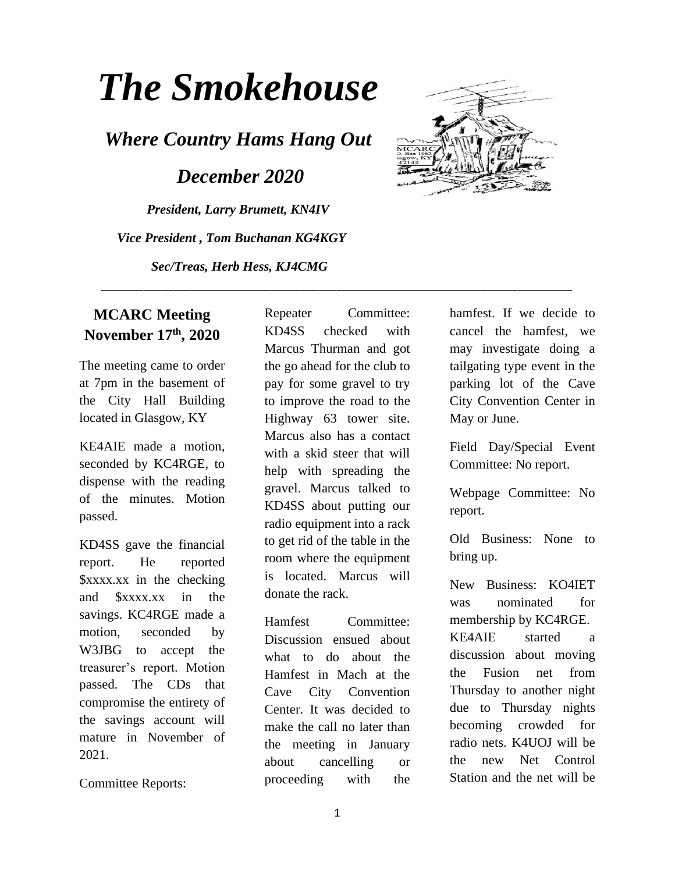# *The Smokehouse*

*Where Country Hams Hang Out*

 *December 2020*

*President, Larry Brumett, KN4IV Vice President , Tom Buchanan KG4KGY Sec/Treas, Herb Hess, KJ4CMG*



#### **MCARC Meeting November 17th, 2020**

The meeting came to order at 7pm in the basement of the City Hall Building located in Glasgow, KY

KE4AIE made a motion, seconded by KC4RGE, to dispense with the reading of the minutes. Motion passed.

KD4SS gave the financial report. He reported \$xxxx.xx in the checking and \$xxxx.xx in the savings. KC4RGE made a motion, seconded by W3JBG to accept the treasurer's report. Motion passed. The CDs that compromise the entirety of the savings account will mature in November of 2021.

Committee Reports:

Repeater Committee: KD4SS checked with Marcus Thurman and got the go ahead for the club to pay for some gravel to try to improve the road to the Highway 63 tower site. Marcus also has a contact with a skid steer that will help with spreading the gravel. Marcus talked to KD4SS about putting our radio equipment into a rack to get rid of the table in the room where the equipment is located. Marcus will donate the rack.

\_\_\_\_\_\_\_\_\_\_\_\_\_\_\_\_\_\_\_\_\_\_\_\_\_\_\_\_\_\_\_\_\_\_\_\_\_\_\_\_\_\_\_\_\_\_\_\_\_\_\_\_\_\_\_\_\_\_\_\_\_\_\_\_\_\_\_\_\_\_\_\_\_\_\_\_\_\_

Hamfest Committee: Discussion ensued about what to do about the Hamfest in Mach at the Cave City Convention Center. It was decided to make the call no later than the meeting in January about cancelling or proceeding with the hamfest. If we decide to cancel the hamfest, we may investigate doing a tailgating type event in the parking lot of the Cave City Convention Center in May or June.

Field Day/Special Event Committee: No report.

Webpage Committee: No report.

Old Business: None to bring up.

New Business: KO4IET was nominated for membership by KC4RGE. KE4AIE started a discussion about moving the Fusion net from Thursday to another night due to Thursday nights becoming crowded for radio nets. K4UOJ will be the new Net Control Station and the net will be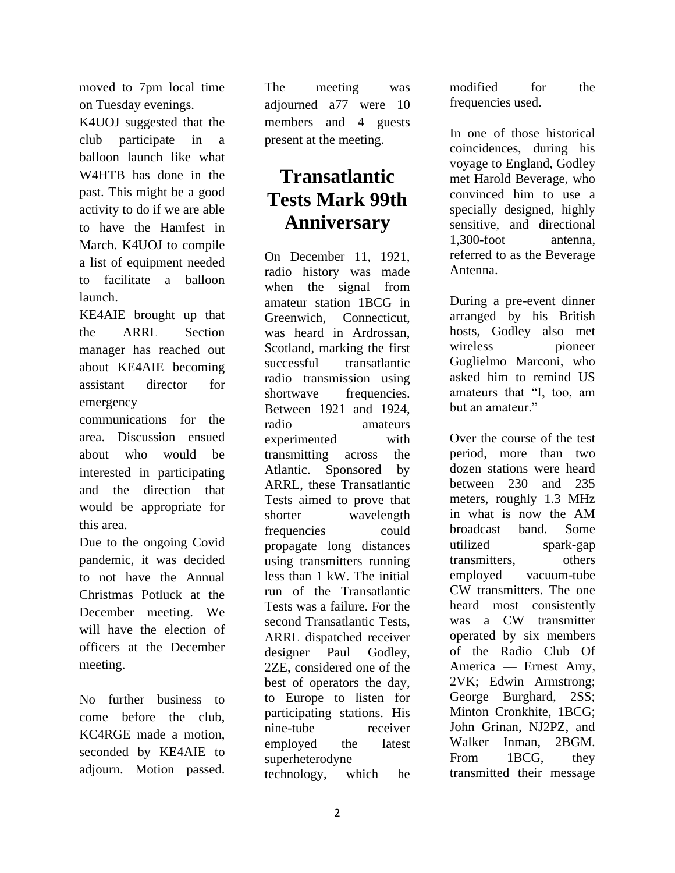moved to 7pm local time on Tuesday evenings.

K4UOJ suggested that the club participate in a balloon launch like what W4HTB has done in the past. This might be a good activity to do if we are able to have the Hamfest in March. K4UOJ to compile a list of equipment needed to facilitate a balloon launch.

KE4AIE brought up that the ARRL Section manager has reached out about KE4AIE becoming assistant director for emergency

communications for the area. Discussion ensued about who would be interested in participating and the direction that would be appropriate for this area.

Due to the ongoing Covid pandemic, it was decided to not have the Annual Christmas Potluck at the December meeting. We will have the election of officers at the December meeting.

No further business to come before the club, KC4RGE made a motion, seconded by KE4AIE to adjourn. Motion passed.

The meeting was adjourned a77 were 10 members and 4 guests present at the meeting.

## **Transatlantic Tests Mark 99th Anniversary**

On December 11, 1921, radio history was made when the signal from amateur station 1BCG in Greenwich, Connecticut, was heard in Ardrossan, Scotland, marking the first successful transatlantic radio transmission using shortwave frequencies. Between 1921 and 1924, radio amateurs experimented with transmitting across the Atlantic. Sponsored by ARRL, these Transatlantic Tests aimed to prove that shorter wavelength frequencies could propagate long distances using transmitters running less than 1 kW. The initial run of the Transatlantic Tests was a failure. For the second Transatlantic Tests, ARRL dispatched receiver designer Paul Godley, 2ZE, considered one of the best of operators the day, to Europe to listen for participating stations. His nine-tube receiver employed the latest superheterodyne technology, which he

modified for the frequencies used.

In one of those historical coincidences, during his voyage to England, Godley met Harold Beverage, who convinced him to use a specially designed, highly sensitive, and directional 1,300-foot antenna, referred to as the Beverage Antenna.

During a pre-event dinner arranged by his British hosts, Godley also met wireless pioneer Guglielmo Marconi, who asked him to remind US amateurs that "I, too, am but an amateur."

Over the course of the test period, more than two dozen stations were heard between 230 and 235 meters, roughly 1.3 MHz in what is now the AM broadcast band. Some utilized spark-gap transmitters, others employed vacuum-tube CW transmitters. The one heard most consistently was a CW transmitter operated by six members of the Radio Club Of America — Ernest Amy, 2VK; Edwin Armstrong; George Burghard, 2SS; Minton Cronkhite, 1BCG; John Grinan, NJ2PZ, and Walker Inman, 2BGM. From 1BCG, they transmitted their message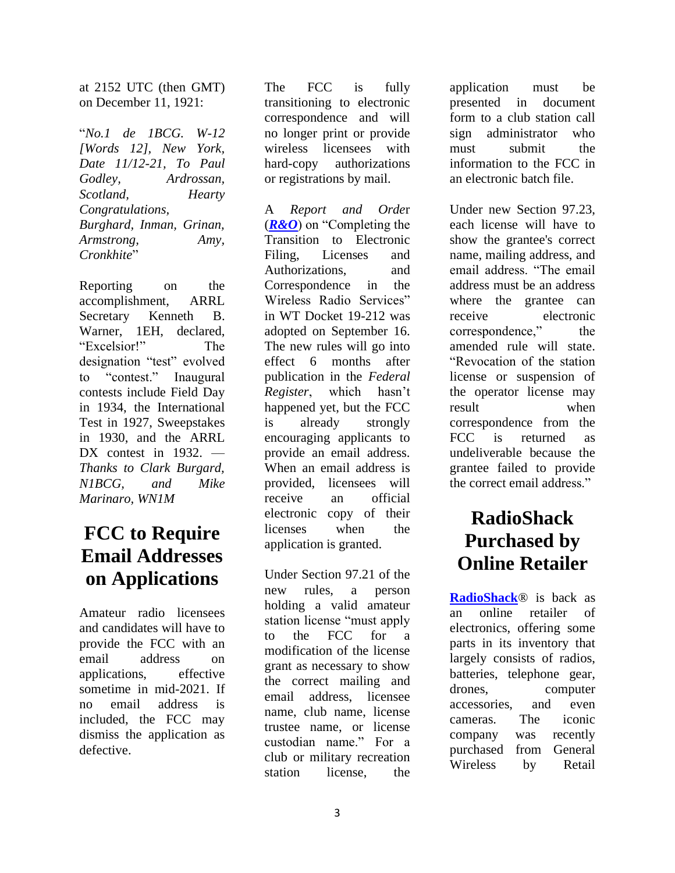at 2152 UTC (then GMT) on December 11, 1921:

"*No.1 de 1BCG. W-12 [Words 12], New York, Date 11/12-21, To Paul Godley, Ardrossan, Scotland, Hearty Congratulations, Burghard, Inman, Grinan, Armstrong, Amy, Cronkhite*"

Reporting on the accomplishment, ARRL Secretary Kenneth B. Warner, 1EH, declared, "Excelsior!" The designation "test" evolved to "contest." Inaugural contests include Field Day in 1934, the International Test in 1927, Sweepstakes in 1930, and the ARRL DX contest in 1932. — *Thanks to Clark Burgard, N1BCG, and Mike Marinaro, WN1M*

## **FCC to Require Email Addresses on Applications**

Amateur radio licensees and candidates will have to provide the FCC with an email address on applications, effective sometime in mid-2021. If no email address is included, the FCC may dismiss the application as defective.

The FCC is fully transitioning to electronic correspondence and will no longer print or provide wireless licensees with hard-copy authorizations or registrations by mail.

A *Report and Orde*r (*[R&O](https://www.fcc.gov/document/fcc-adopts-electronic-licensing-report-and-order)*) on "Completing the Transition to Electronic Filing, Licenses and Authorizations, and Correspondence in the Wireless Radio Services" in WT Docket 19-212 was adopted on September 16. The new rules will go into effect 6 months after publication in the *Federal Register*, which hasn't happened yet, but the FCC is already strongly encouraging applicants to provide an email address. When an email address is provided, licensees will receive an official electronic copy of their licenses when the application is granted.

Under Section 97.21 of the new rules, a person holding a valid amateur station license "must apply to the FCC for a modification of the license grant as necessary to show the correct mailing and email address, licensee name, club name, license trustee name, or license custodian name." For a club or military recreation station license, the application must be presented in document form to a club station call sign administrator who must submit the information to the FCC in an electronic batch file.

Under new Section 97.23, each license will have to show the grantee's correct name, mailing address, and email address. "The email address must be an address where the grantee can receive electronic correspondence," the amended rule will state. "Revocation of the station license or suspension of the operator license may result when correspondence from the FCC is returned as undeliverable because the grantee failed to provide the correct email address."

## **RadioShack Purchased by Online Retailer**

**[RadioShack](http://www.radioshack.com/)**® is back as an online retailer of electronics, offering some parts in its inventory that largely consists of radios, batteries, telephone gear, drones, computer accessories, and even cameras. The iconic company was recently purchased from General Wireless by Retail